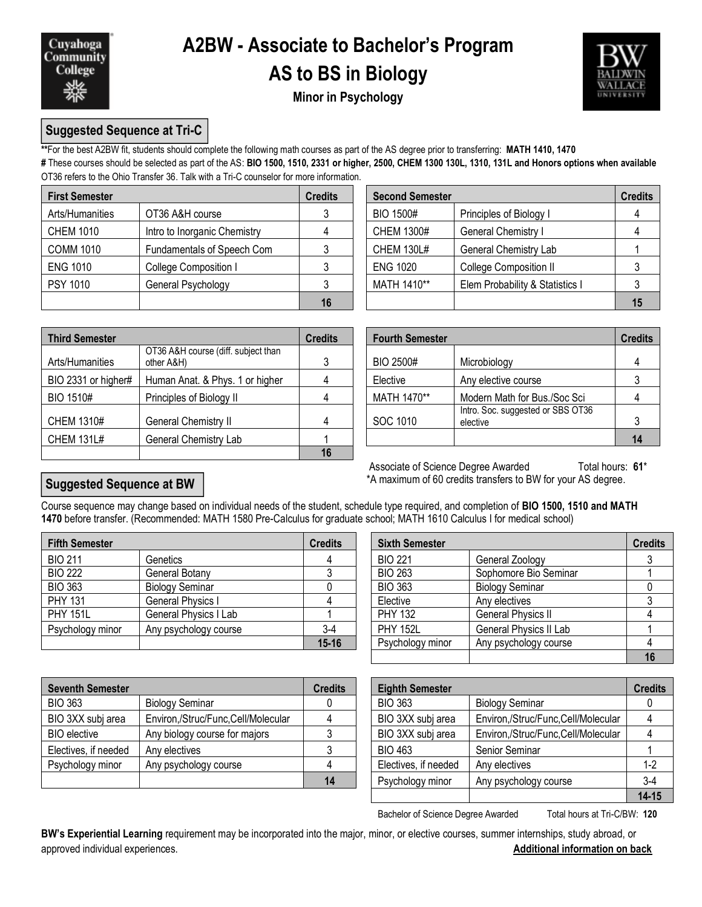

# **A2BW - Associate to Bachelor's Program**

### **AS to BS in Biology**



**Minor in Psychology**

#### **Suggested Sequence at Tri-C**

**\*\***For the best A2BW fit, students should complete the following math courses as part of the AS degree prior to transferring: **MATH 1410, 1470 #** These courses should be selected as part of the AS: **BIO 1500, 1510, 2331 or higher, 2500, CHEM 1300 130L, 1310, 131L and Honors options when available** OT36 refers to the Ohio Transfer 36. Talk with a Tri-C counselor for more information.

| <b>First Semester</b> |                              | <b>Credits</b> | <b>Second Semester</b> |                                 | <b>Credits</b> |
|-----------------------|------------------------------|----------------|------------------------|---------------------------------|----------------|
| Arts/Humanities       | OT36 A&H course              |                | BIO 1500#              | Principles of Biology I         |                |
| <b>CHEM 1010</b>      | Intro to Inorganic Chemistry |                | <b>CHEM 1300#</b>      | <b>General Chemistry I</b>      |                |
| <b>COMM 1010</b>      | Fundamentals of Speech Com   |                | <b>CHEM 130L#</b>      | <b>General Chemistry Lab</b>    |                |
| <b>ENG 1010</b>       | College Composition I        |                | <b>ENG 1020</b>        | <b>College Composition II</b>   |                |
| <b>PSY 1010</b>       | General Psychology           |                | MATH 1410**            | Elem Probability & Statistics I |                |
|                       |                              | 16             |                        |                                 | 15             |

| dits           | <b>Second Semester</b><br><b>Credits</b> |                                 |  |  |  |  |  |
|----------------|------------------------------------------|---------------------------------|--|--|--|--|--|
| $\mathbf{3}$   | <b>BIO 1500#</b>                         | Principles of Biology I         |  |  |  |  |  |
| $\overline{4}$ | CHEM 1300#                               | General Chemistry I             |  |  |  |  |  |
| 3              | <b>CHEM 130L#</b>                        | General Chemistry Lab           |  |  |  |  |  |
| 3              | <b>ENG 1020</b>                          | College Composition II          |  |  |  |  |  |
| 3              | MATH 1410**                              | Elem Probability & Statistics I |  |  |  |  |  |
| 16             |                                          |                                 |  |  |  |  |  |

| <b>Third Semester</b> |                                                   | <b>Credits</b> | <b>Fourth Semester</b> |                                               | <b>Credits</b> |  |
|-----------------------|---------------------------------------------------|----------------|------------------------|-----------------------------------------------|----------------|--|
| Arts/Humanities       | OT36 A&H course (diff. subject than<br>other A&H) |                | BIO 2500#              | Microbiology                                  |                |  |
| BIO 2331 or higher#   | Human Anat. & Phys. 1 or higher                   | 4              | Elective               | Any elective course                           |                |  |
| BIO 1510#             | Principles of Biology II                          | 4              | MATH 1470**            | Modern Math for Bus./Soc Sci                  |                |  |
| <b>CHEM 1310#</b>     | General Chemistry II                              | 4              | SOC 1010               | Intro. Soc. suggested or SBS OT36<br>elective |                |  |
| <b>CHEM 131L#</b>     | General Chemistry Lab                             |                |                        |                                               | 14             |  |
|                       |                                                   | 16             |                        |                                               |                |  |

|                                                   | <b>Credits</b> | <b>Credits</b><br><b>Fourth Semester</b> |                                               |  |  |
|---------------------------------------------------|----------------|------------------------------------------|-----------------------------------------------|--|--|
| OT36 A&H course (diff. subject than<br>other A&H) | 3              | BIO 2500#                                | Microbiology                                  |  |  |
| Human Anat. & Phys. 1 or higher                   |                | Elective                                 | Any elective course                           |  |  |
| Principles of Biology II                          |                | MATH 1470**                              | Modern Math for Bus./Soc Sci                  |  |  |
| General Chemistry II                              | 4              | SOC 1010                                 | Intro. Soc. suggested or SBS OT36<br>elective |  |  |
| General Chemistry Lab                             |                |                                          |                                               |  |  |

Associate of Science Degree Awarded Total hours: 61\* \*A maximum of 60 credits transfers to BW for your AS degree.

#### **Suggested Sequence at BW**

Course sequence may change based on individual needs of the student, schedule type required, and completion of **BIO 1500, 1510 and MATH 1470** before transfer. (Recommended: MATH 1580 Pre-Calculus for graduate school; MATH 1610 Calculus I for medical school)

| <b>Fifth Semester</b> |                        | <b>Credits</b> | <b>Sixth Semester</b> |                           | <b>Credits</b> |  |
|-----------------------|------------------------|----------------|-----------------------|---------------------------|----------------|--|
| <b>BIO 211</b>        | Genetics               |                | <b>BIO 221</b>        | General Zoology           |                |  |
| <b>BIO 222</b>        | General Botany         |                | <b>BIO 263</b>        | Sophomore Bio Seminar     |                |  |
| <b>BIO 363</b>        | <b>Biology Seminar</b> |                | <b>BIO 363</b>        | <b>Biology Seminar</b>    |                |  |
| <b>PHY 131</b>        | General Physics I      |                | Elective              | Any electives             |                |  |
| <b>PHY 151L</b>       | General Physics I Lab  |                | <b>PHY 132</b>        | <b>General Physics II</b> |                |  |
| Psychology minor      | Any psychology course  | $3-4$          | <b>PHY 152L</b>       | General Physics II Lab    |                |  |
|                       |                        | $15 - 16$      | Psychology minor      | Any psychology course     |                |  |

| redits    | <b>Sixth Semester</b> |                           | <b>Credits</b> |
|-----------|-----------------------|---------------------------|----------------|
|           | <b>BIO 221</b>        | General Zoology           |                |
| 3         | <b>BIO 263</b>        | Sophomore Bio Seminar     |                |
|           | <b>BIO 363</b>        | <b>Biology Seminar</b>    |                |
|           | Elective              | Any electives             |                |
|           | <b>PHY 132</b>        | <b>General Physics II</b> |                |
| $3-4$     | <b>PHY 152L</b>       | General Physics II Lab    |                |
| $15 - 16$ | Psychology minor      | Any psychology course     |                |
|           |                       |                           | 16             |

| <b>Seventh Semester</b> |                                    | <b>Credits</b> | <b>Eighth Semester</b> |                                    | <b>Credits</b> |
|-------------------------|------------------------------------|----------------|------------------------|------------------------------------|----------------|
| <b>BIO 363</b>          | <b>Biology Seminar</b>             |                | <b>BIO 363</b>         | <b>Biology Seminar</b>             |                |
| BIO 3XX subj area       | Environ,/Struc/Func,Cell/Molecular |                | BIO 3XX subj area      | Environ,/Struc/Func,Cell/Molecular |                |
| <b>BIO</b> elective     | Any biology course for majors      |                | BIO 3XX subj area      | Environ,/Struc/Func,Cell/Molecular |                |
| Electives, if needed    | Any electives                      |                | <b>BIO 463</b>         | Senior Seminar                     |                |
| Psychology minor        | Any psychology course              |                | Electives, if needed   | Any electives                      |                |
|                         |                                    | 14             | Psychology minor       | Any psychology course              | 3-4            |

| edits          | <b>Eighth Semester</b> |                                    | <b>Credits</b> |
|----------------|------------------------|------------------------------------|----------------|
| 0              | <b>BIO 363</b>         | <b>Biology Seminar</b>             |                |
| $\overline{4}$ | BIO 3XX subj area      | Environ,/Struc/Func,Cell/Molecular |                |
| 3              | BIO 3XX subj area      | Environ,/Struc/Func,Cell/Molecular |                |
| 3              | <b>BIO 463</b>         | Senior Seminar                     |                |
| $\overline{4}$ | Electives, if needed   | Any electives                      | $1-2$          |
| 14             | Psychology minor       | Any psychology course              | $3-4$          |
|                |                        |                                    | $14 - 15$      |

Bachelor of Science Degree Awarded Total hours at Tri-C/BW: 120

**BW's Experiential Learning** requirement may be incorporated into the major, minor, or elective courses, summer internships, study abroad, or approved individual experiences. **Additional information on back**